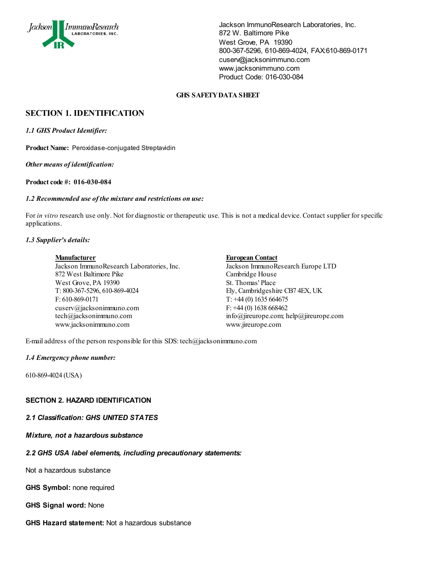

### **GHS SAFETY DATA SHEET**

# **SECTION 1. IDENTIFICATION**

*1.1 GHS Product Identifier:*

**Product Name:** Peroxidase-conjugated Streptavidin

*Other means of identification:*

**Product code #: 016-030-084**

#### *1.2 Recommended use of the mixture and restrictions on use:*

For *in vitro* research use only. Not for diagnostic or therapeutic use. This is not a medical device. Contact supplier for specific applications.

## *1.3 Supplier's details:*

Jackson ImmunoResearch Laboratories, Inc. Jackson ImmunoResearch Europe LTD 872 West Baltimore Pike Cambridge House West Grove, PA 19390 St. Thomas' Place T: 800-367-5296, 610-869-4024 Ely, Cambridgeshire CB7 4EX, UK F: 610-869-0171  $T: +44(0)$  1635 664675 cuserv@jacksonimmuno.com F:  $+44$  (0) 1638 668462 tech@jacksonimmuno.com info@jireurope.com; help@jireurope.com www.jacksonimmuno.com www.jireurope.com

#### **Manufacturer European Contact**

E-mail address of the person responsible for this SDS: tech@jacksonimmuno.com

#### *1.4 Emergency phone number:*

610-869-4024 (USA)

# **SECTION 2. HAZARD IDENTIFICATION**

# *2.1 Classification: GHS UNITED STATES*

*Mixture, not a hazardous substance*

# *2.2 GHS USA label elements, including precautionary statements:*

Not a hazardous substance

**GHS Symbol:** none required

**GHS Signal word:** None

**GHS Hazard statement:** Not a hazardous substance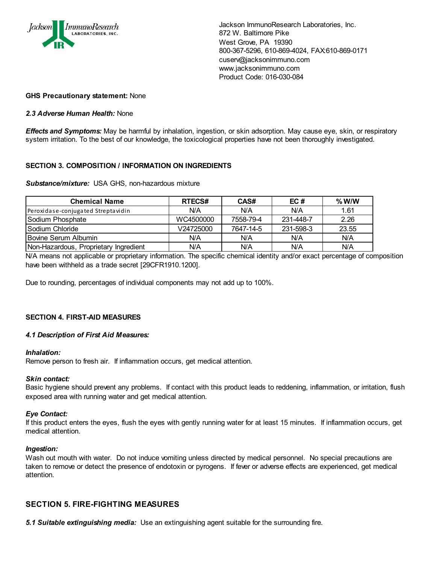

## **GHS Precautionary statement:** None

## *2.3 Adverse Human Health:* None

*Effects and Symptoms:* May be harmful by inhalation, ingestion, or skin adsorption. May cause eye, skin, or respiratory system irritation. To the best of our knowledge, the toxicological properties have not been thoroughly investigated.

## **SECTION 3. COMPOSITION / INFORMATION ON INGREDIENTS**

#### *Substance/mixture:* USA GHS, non-hazardous mixture

| <b>Chemical Name</b>                  | <b>RTECS#</b> | CAS#      | EC#       | $%$ W/W |
|---------------------------------------|---------------|-----------|-----------|---------|
| Peroxidase-conjugated Streptavidin    | N/A           | N/A       | N/A       | 1.61    |
| Sodium Phosphate                      | WC4500000     | 7558-79-4 | 231-448-7 | 2.26    |
| l Sodium Chloride                     | V24725000     | 7647-14-5 | 231-598-3 | 23.55   |
| Bovine Serum Albumin                  | N/A           | N/A       | N/A       | N/A     |
| Non-Hazardous, Proprietary Ingredient | N/A           | N/A       | N/A       | N/A     |

N/A means not applicable or proprietary information. The specific chemical identity and/or exact percentage of composition have been withheld as a trade secret [29CFR1910.1200].

Due to rounding, percentages of individual components may not add up to 100%.

# **SECTION 4. FIRST-AID MEASURES**

#### *4.1 Description of First Aid Measures:*

#### *Inhalation:*

Remove person to fresh air. If inflammation occurs, get medical attention.

#### *Skin contact:*

Basic hygiene should prevent any problems. If contact with this product leads to reddening, inflammation, or irritation, flush exposed area with running water and get medical attention.

#### *Eye Contact:*

If this product enters the eyes, flush the eyes with gently running water for at least 15 minutes. If inflammation occurs, get medical attention.

#### *Ingestion:*

Wash out mouth with water. Do not induce vomiting unless directed by medical personnel. No special precautions are taken to remove or detect the presence of endotoxin or pyrogens. If fever or adverse effects are experienced, get medical attention.

# **SECTION 5. FIRE-FIGHTING MEASURES**

*5.1 Suitable extinguishing media:* Use an extinguishing agent suitable for the surrounding fire.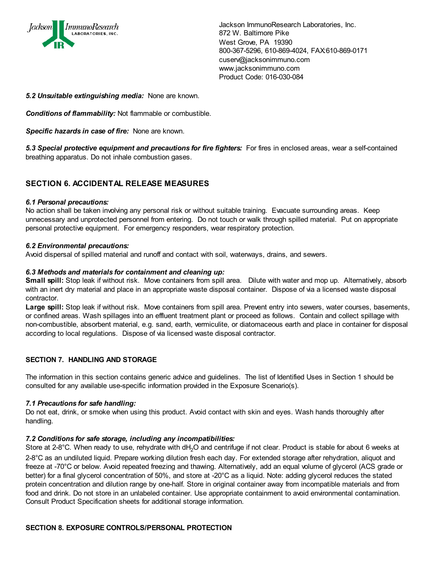

## *5.2 Unsuitable extinguishing media:* None are known.

*Conditions of flammability:* Not flammable or combustible.

*Specific hazards in case of fire:* None are known.

5.3 Special protective equipment and precautions for fire fighters: For fires in enclosed areas, wear a self-contained breathing apparatus. Do not inhale combustion gases.

# **SECTION 6. ACCIDENTAL RELEASE MEASURES**

#### *6.1 Personal precautions:*

No action shall be taken involving any personal risk or without suitable training. Evacuate surrounding areas. Keep unnecessary and unprotected personnel from entering. Do not touch or walk through spilled material. Put on appropriate personal protective equipment. For emergency responders, wear respiratory protection.

#### *6.2 Environmental precautions:*

Avoid dispersal of spilled material and runoff and contact with soil, waterways, drains, and sewers.

## *6.3 Methods and materials for containment and cleaning up:*

**Small spill:** Stop leak if without risk. Move containers from spill area. Dilute with water and mop up. Alternatively, absorb with an inert dry material and place in an appropriate waste disposal container. Dispose of via a licensed waste disposal contractor.

Large spill: Stop leak if without risk. Move containers from spill area. Prevent entry into sewers, water courses, basements, or confined areas. Wash spillages into an effluent treatment plant or proceed as follows. Contain and collect spillage with non-combustible, absorbent material, e.g. sand, earth, vermiculite, or diatomaceous earth and place in container for disposal according to local regulations. Dispose of via licensed waste disposal contractor.

# **SECTION 7. HANDLING AND STORAGE**

The information in this section contains generic advice and guidelines. The list of Identified Uses in Section 1 should be consulted for any available use-specific information provided in the Exposure Scenario(s).

# *7.1 Precautions for safe handling:*

Do not eat, drink, or smoke when using this product. Avoid contact with skin and eyes. Wash hands thoroughly after handling.

# *7.2 Conditions for safe storage, including any incompatibilities:*

Store at 2-8<sup>°</sup>C. When ready to use, rehydrate with dH<sub>2</sub>O and centrifuge if not clear. Product is stable for about 6 weeks at 2-8°C as an undiluted liquid. Prepare working dilution fresh each day. For extended storage after rehydration, aliquot and freeze at -70°C or below. Avoid repeated freezing and thawing. Alternatively, add an equal volume of glycerol (ACS grade or better) for a final glycerol concentration of 50%, and store at -20°C as a liquid. Note: adding glycerol reduces the stated protein concentration and dilution range by one-half. Store in original container away from incompatible materials and from food and drink. Do not store in an unlabeled container. Use appropriate containment to avoid environmental contamination. Consult Product Specification sheets for additional storage information.

#### **SECTION 8. EXPOSURE CONTROLS/PERSONAL PROTECTION**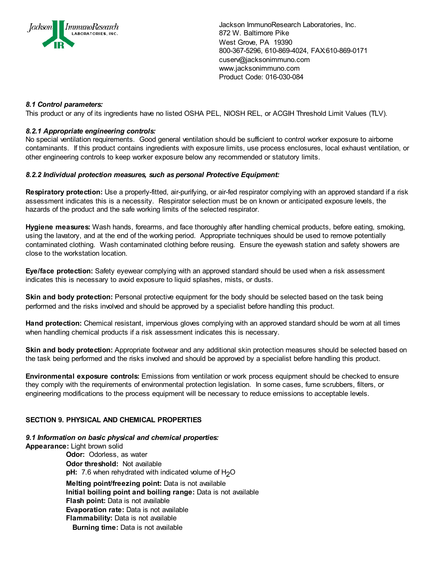

## *8.1 Control parameters:*

This product or any of its ingredients have no listed OSHA PEL, NIOSH REL, or ACGIH Threshold Limit Values (TLV).

## *8.2.1 Appropriate engineering controls:*

No special ventilation requirements. Good general ventilation should be sufficient to control worker exposure to airborne contaminants. If this product contains ingredients with exposure limits, use process enclosures, local exhaust ventilation, or other engineering controls to keep worker exposure below any recommended or statutory limits.

## *8.2.2 Individual protection measures, such as personal Protective Equipment:*

**Respiratory protection:** Use a properly-fitted, air-purifying, or air-fed respirator complying with an approved standard if a risk assessment indicates this is a necessity. Respirator selection must be on known or anticipated exposure levels, the hazards of the product and the safe working limits of the selected respirator.

**Hygiene measures:** Wash hands, forearms, and face thoroughly after handling chemical products, before eating, smoking, using the lavatory, and at the end of the working period. Appropriate techniques should be used to remove potentially contaminated clothing. Wash contaminated clothing before reusing. Ensure the eyewash station and safety showers are close to the workstation location.

**Eye/face protection:** Safety eyewear complying with an approved standard should be used when a risk assessment indicates this is necessary to avoid exposure to liquid splashes, mists, or dusts.

**Skin and body protection:** Personal protective equipment for the body should be selected based on the task being performed and the risks involved and should be approved by a specialist before handling this product.

**Hand protection:** Chemical resistant, impervious gloves complying with an approved standard should be worn at all times when handling chemical products if a risk assessment indicates this is necessary.

**Skin and body protection:** Appropriate footwear and any additional skin protection measures should be selected based on the task being performed and the risks involved and should be approved by a specialist before handling this product.

**Environmental exposure controls:** Emissions from ventilation or work process equipment should be checked to ensure they comply with the requirements of environmental protection legislation. In some cases, fume scrubbers, filters, or engineering modifications to the process equipment will be necessary to reduce emissions to acceptable levels.

# **SECTION 9. PHYSICAL AND CHEMICAL PROPERTIES**

#### *9.1 Information on basic physical and chemical properties:*

**Appearance:** Light brown solid

**Odor:** Odorless, as water **Odor threshold:** Not available **pH:** 7.6 when rehydrated with indicated volume of H<sub>2</sub>O **Melting point/freezing point:** Data is not available **Initial boiling point and boiling range:** Data is not available **Flash point:** Data is not available **Evaporation rate:** Data is not available **Flammability:** Data is not available **Burning time:** Data is not available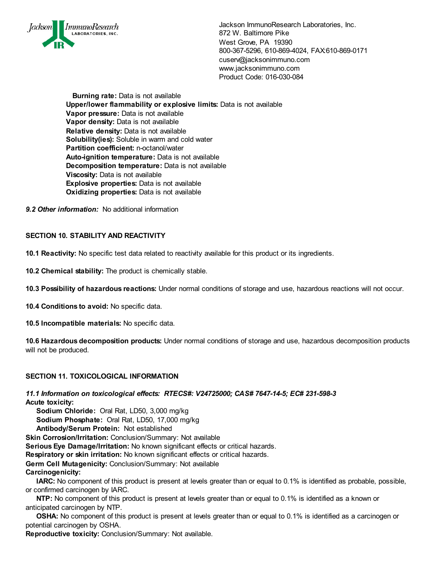

**Burning rate:** Data is not available **Upper/lower flammability or explosive limits:** Data is not available **Vapor pressure:** Data is not available **Vapor density:** Data is not available **Relative density:** Data is not available **Solubility(ies):** Soluble in warm and cold water **Partition coefficient:** n-octanol/water **Auto-ignition temperature:** Data is not available **Decomposition temperature:** Data is not available **Viscosity:** Data is not available **Explosive properties:** Data is not available **Oxidizing properties:** Data is not available

*9.2 Other information:* No additional information

# **SECTION 10. STABILITY AND REACTIVITY**

**10.1 Reactivity:** No specific test data related to reactivity available for this product or its ingredients.

**10.2 Chemical stability:** The product is chemically stable.

**10.3 Possibility of hazardous reactions:** Under normal conditions of storage and use, hazardous reactions will not occur.

- **10.4 Conditions to avoid:** No specific data.
- **10.5 Incompatible materials:** No specific data.

**10.6 Hazardous decomposition products:** Under normal conditions of storage and use, hazardous decomposition products will not be produced.

# **SECTION 11. TOXICOLOGICAL INFORMATION**

*11.1 Information on toxicological effects: RTECS#: V24725000; CAS# 7647-14-5; EC# 231-598-3* **Acute toxicity:**

**Sodium Chloride:** Oral Rat, LD50, 3,000 mg/kg  **Sodium Phosphate:** Oral Rat, LD50, 17,000 mg/kg  **Antibody/Serum Protein:** Not established

**Skin Corrosion/Irritation:** Conclusion/Summary: Not available

**Serious Eye Damage/Irritation:** No known significant effects or critical hazards.

**Respiratory or skin irritation:** No known significant effects or critical hazards.

**Germ Cell Mutagenicity:** Conclusion/Summary: Not available

**Carcinogenicity:**

 **IARC:** No component of this product is present at levels greater than or equal to 0.1% is identified as probable, possible, or confirmed carcinogen by IARC.

 **NTP:** No component of this product is present at levels greater than or equal to 0.1% is identified as a known or anticipated carcinogen by NTP.

**OSHA:** No component of this product is present at levels greater than or equal to 0.1% is identified as a carcinogen or potential carcinogen by OSHA.

**Reproductive toxicity:** Conclusion/Summary: Not available.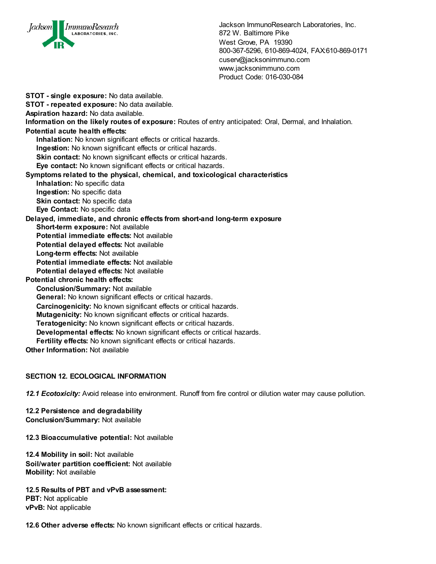

**STOT - single exposure:** No data available. **STOT - repeated exposure:** No data available. **Aspiration hazard:** No data available. **Information on the likely routes of exposure:** Routes of entry anticipated: Oral, Dermal, and Inhalation. **Potential acute health effects: Inhalation:** No known significant effects or critical hazards.  **Ingestion:** No known significant effects or critical hazards. **Skin contact:** No known significant effects or critical hazards.  **Eye contact:** No known significant effects or critical hazards. **Symptoms related to the physical, chemical, and toxicological characteristics Inhalation:** No specific data **Ingestion:** No specific data **Skin contact:** No specific data  **Eye Contact:** No specific data **Delayed, immediate, and chronic effects from short-and long-term exposure Short-term exposure:** Not available **Potential immediate effects:** Not available **Potential delayed effects:** Not available  **Long-term effects:** Not available **Potential immediate effects:** Not available **Potential delayed effects:** Not available **Potential chronic health effects: Conclusion/Summary:** Not available  **General:** No known significant effects or critical hazards. **Carcinogenicity:** No known significant effects or critical hazards. **Mutagenicity:** No known significant effects or critical hazards. **Teratogenicity:** No known significant effects or critical hazards.  **Developmental effects:** No known significant effects or critical hazards.  **Fertility effects:** No known significant effects or critical hazards. **Other Information:** Not available

# **SECTION 12. ECOLOGICAL INFORMATION**

*12.1 Ecotoxicity:* Avoid release into environment. Runoff from fire control or dilution water may cause pollution.

**12.2 Persistence and degradability Conclusion/Summary:** Not available

**12.3 Bioaccumulative potential:** Not available

**12.4 Mobility in soil:** Not available **Soil/water partition coefficient:** Not available **Mobility:** Not available

**12.5 Results of PBT and vPvB assessment: PBT:** Not applicable **vPvB:** Not applicable

**12.6 Other adverse effects:** No known significant effects or critical hazards.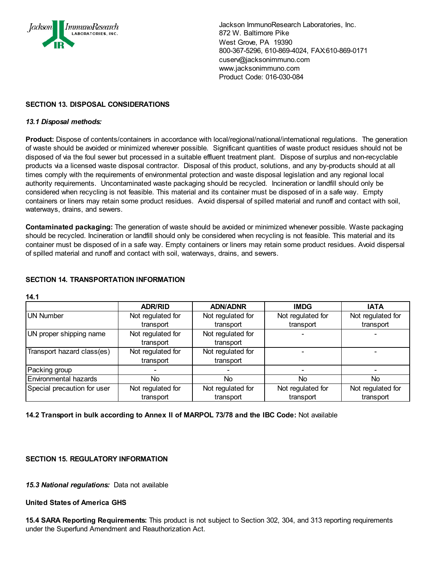

# **SECTION 13. DISPOSAL CONSIDERATIONS**

## *13.1 Disposal methods:*

**Product:** Dispose of contents/containers in accordance with local/regional/national/international regulations. The generation of waste should be avoided or minimized wherever possible. Significant quantities of waste product residues should not be disposed of via the foul sewer but processed in a suitable effluent treatment plant. Dispose of surplus and non-recyclable products via a licensed waste disposal contractor. Disposal of this product, solutions, and any by-products should at all times comply with the requirements of environmental protection and waste disposal legislation and any regional local authority requirements. Uncontaminated waste packaging should be recycled. Incineration or landfill should only be considered when recycling is not feasible. This material and its container must be disposed of in a safe way. Empty containers or liners may retain some product residues. Avoid dispersal of spilled material and runoff and contact with soil, waterways, drains, and sewers.

**Contaminated packaging:** The generation of waste should be avoided or minimized whenever possible. Waste packaging should be recycled. Incineration or landfill should only be considered when recycling is not feasible. This material and its container must be disposed of in a safe way. Empty containers or liners may retain some product residues. Avoid dispersal of spilled material and runoff and contact with soil, waterways, drains, and sewers.

# **SECTION 14. TRANSPORTATION INFORMATION**

|                             | <b>ADR/RID</b>                 | <b>ADN/ADNR</b>                | <b>IMDG</b>       | <b>IATA</b>       |
|-----------------------------|--------------------------------|--------------------------------|-------------------|-------------------|
| <b>UN Number</b>            | Not regulated for              | Not regulated for              | Not regulated for | Not regulated for |
|                             | transport                      | transport                      | transport         | transport         |
| UN proper shipping name     | Not regulated for<br>transport | Not regulated for<br>transport |                   |                   |
|                             |                                |                                |                   |                   |
| Transport hazard class(es)  | Not regulated for              | Not regulated for              |                   |                   |
|                             | transport                      | transport                      |                   |                   |
| Packing group               |                                |                                |                   |                   |
| Environmental hazards       | No.                            | No.                            | No                | No.               |
| Special precaution for user | Not regulated for              | Not regulated for              | Not regulated for | Not regulated for |
|                             | transport                      | transport                      | transport         | transport         |

#### **14.1**

**14.2 Transport in bulk according to Annex II of MARPOL 73/78 and the IBC Code:** Not available

# **SECTION 15. REGULATORY INFORMATION**

*15.3 National regulations:* Data not available

#### **United States of America GHS**

**15.4 SARA Reporting Requirements:** This product is not subject to Section 302, 304, and 313 reporting requirements under the Superfund Amendment and Reauthorization Act.